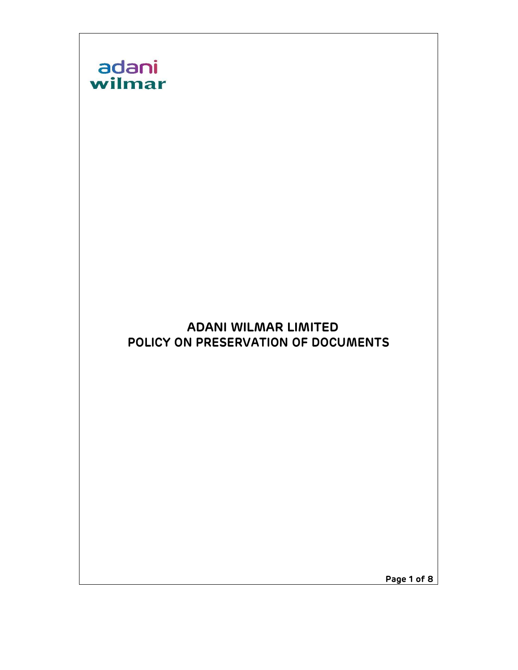

Page 1 of 8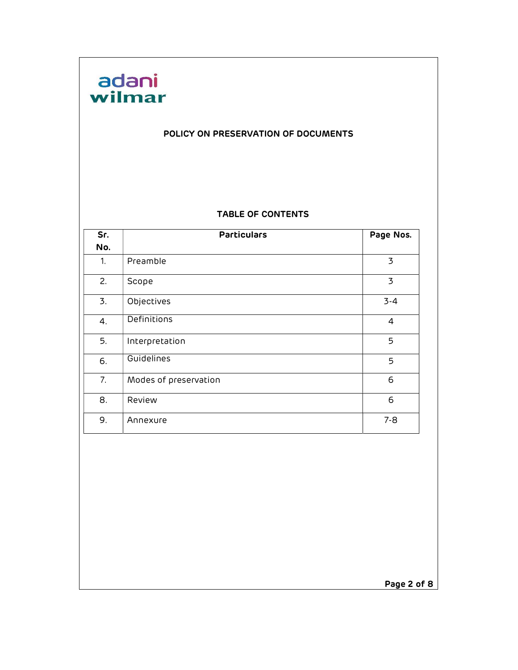# adani<br>wilmar

#### POLICY ON PRESERVATION OF DOCUMENTS

#### TABLE OF CONTENTS

| Sr. | <b>Particulars</b>    | Page Nos.      |
|-----|-----------------------|----------------|
| No. |                       |                |
| 1.  | Preamble              | 3              |
| 2.  | Scope                 | 3              |
| 3.  | Objectives            | $3 - 4$        |
| 4.  | Definitions           | $\overline{4}$ |
| 5.  | Interpretation        | 5              |
| 6.  | Guidelines            | 5              |
| 7.  | Modes of preservation | 6              |
| 8.  | Review                | 6              |
| 9.  | Annexure              | $7 - 8$        |

Page 2 of 8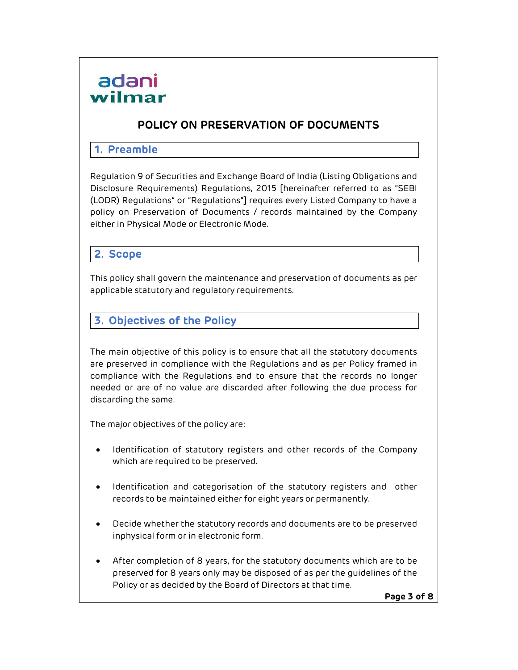

## POLICY ON PRESERVATION OF DOCUMENTS

#### 1. Preamble

Regulation 9 of Securities and Exchange Board of India (Listing Obligations and Disclosure Requirements) Regulations, 2015 [hereinafter referred to as "SEBI (LODR) Regulations" or "Regulations"] requires every Listed Company to have a policy on Preservation of Documents / records maintained by the Company either in Physical Mode or Electronic Mode.

#### 2. Scope

This policy shall govern the maintenance and preservation of documents as per applicable statutory and regulatory requirements.

# 3. Objectives of the Policy

The main objective of this policy is to ensure that all the statutory documents are preserved in compliance with the Regulations and as per Policy framed in compliance with the Regulations and to ensure that the records no longer needed or are of no value are discarded after following the due process for discarding the same.

The major objectives of the policy are:

- Identification of statutory registers and other records of the Company which are required to be preserved.
- Identification and categorisation of the statutory registers and other records to be maintained either for eight years or permanently.
- Decide whether the statutory records and documents are to be preserved in physical form or in electronic form.
- After completion of 8 years, for the statutory documents which are to be preserved for 8 years only may be disposed of as per the guidelines of the Policy or as decided by the Board of Directors at that time.

Page 3 of 8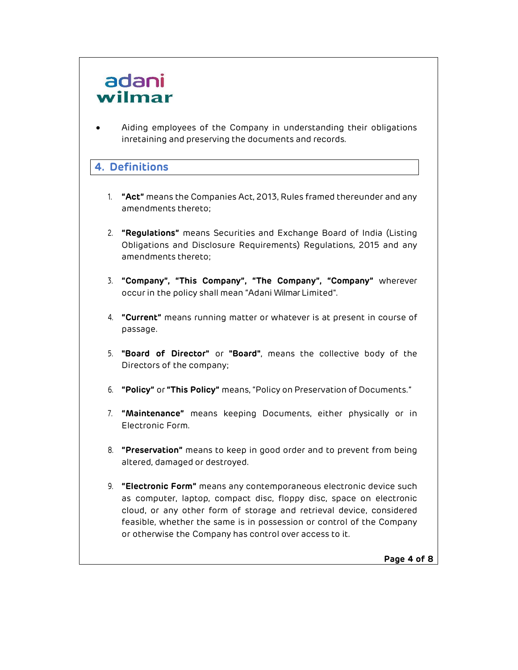# adani wilmar

 Aiding employees of the Company in understanding their obligations in retaining and preserving the documents and records.

# 4. Definitions

- 1. "Act" means the Companies Act, 2013, Rules framed thereunder and any amendments thereto;
- 2. "Regulations" means Securities and Exchange Board of India (Listing Obligations and Disclosure Requirements) Regulations, 2015 and any amendments thereto;
- 3. "Company", "This Company", "The Company", "Company" wherever occur in the policy shall mean "Adani Wilmar Limited".
- 4. "Current" means running matter or whatever is at present in course of passage.
- 5. "Board of Director" or "Board", means the collective body of the Directors of the company;
- 6. "Policy" or "This Policy" means, "Policy on Preservation of Documents."
- 7. "Maintenance" means keeping Documents, either physically or in Electronic Form.
- 8. "Preservation" means to keep in good order and to prevent from being altered, damaged or destroyed.
- 9. "Electronic Form" means any contemporaneous electronic device such as computer, laptop, compact disc, floppy disc, space on electronic cloud, or any other form of storage and retrieval device, considered feasible, whether the same is in possession or control of the Company or otherwise the Company has control over access to it.

Page 4 of 8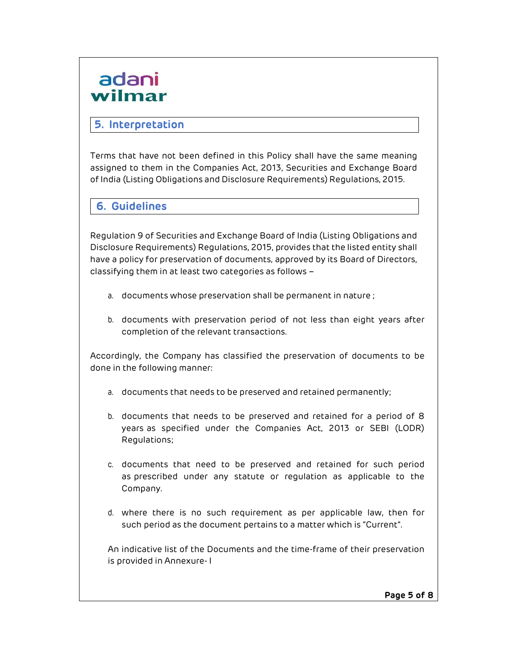# adani wilmar

# 5. Interpretation

Terms that have not been defined in this Policy shall have the same meaning assigned to them in the Companies Act, 2013, Securities and Exchange Board of India (Listing Obligations and Disclosure Requirements) Regulations, 2015.

6. Guidelines

Regulation 9 of Securities and Exchange Board of India (Listing Obligations and Disclosure Requirements) Regulations, 2015, provides that the listed entity shall have a policy for preservation of documents, approved by its Board of Directors, classifying them in at least two categories as follows –

- a. documents whose preservation shall be permanent in nature ;
- b. documents with preservation period of not less than eight years after completion of the relevant transactions.

Accordingly, the Company has classified the preservation of documents to be done in the following manner:

- a. documents that needs to be preserved and retained permanently;
- b. documents that needs to be preserved and retained for a period of 8 years as specified under the Companies Act, 2013 or SEBI (LODR) Regulations;
- c. documents that need to be preserved and retained for such period as prescribed under any statute or regulation as applicable to the Company.
- d. where there is no such requirement as per applicable law, then for such period as the document pertains to a matter which is "Current".

An indicative list of the Documents and the time-frame of their preservation is provided in Annexure- I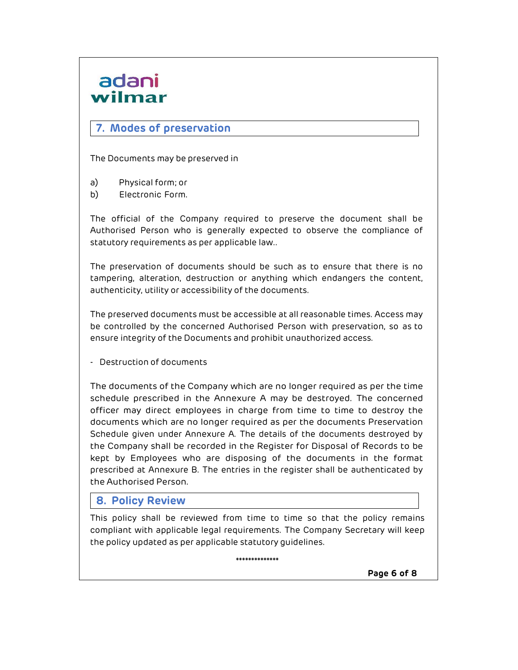# adani wilmar

## 7. Modes of preservation

The Documents may be preserved in

- a) Physical form; or
- b) Electronic Form.

The official of the Company required to preserve the document shall be Authorised Person who is generally expected to observe the compliance of statutory requirements as per applicable law..

The preservation of documents should be such as to ensure that there is no tampering, alteration, destruction or anything which endangers the content, authenticity, utility or accessibility of the documents.

The preserved documents must be accessible at all reasonable times. Access may be controlled by the concerned Authorised Person with preservation, so as to ensure integrity of the Documents and prohibit unauthorized access.

- Destruction of documents

The documents of the Company which are no longer required as per the time schedule prescribed in the Annexure A may be destroyed. The concerned officer may direct employees in charge from time to time to destroy the documents which are no longer required as per the documents Preservation Schedule given under Annexure A. The details of the documents destroyed by the Company shall be recorded in the Register for Disposal of Records to be kept by Employees who are disposing of the documents in the format prescribed at Annexure B. The entries in the register shall be authenticated by the Authorised Person.

### 8. Policy Review

This policy shall be reviewed from time to time so that the policy remains compliant with applicable legal requirements. The Company Secretary will keep the policy updated as per applicable statutory guidelines.

\*\*\*\*\*\*\*\*\*\*\*\*\*\*

Page 6 of 8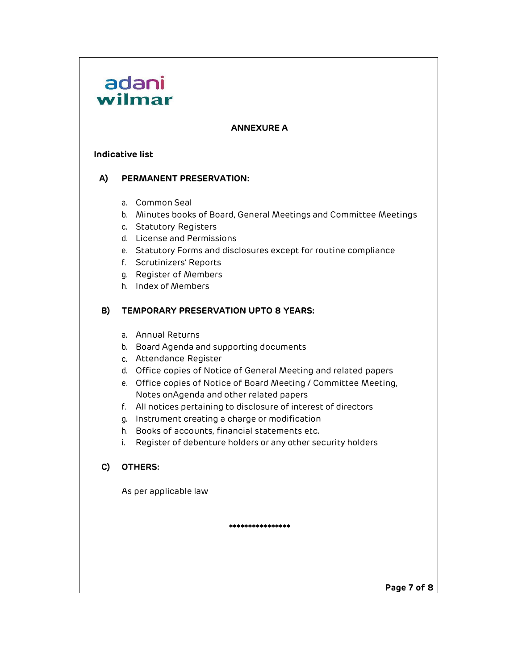